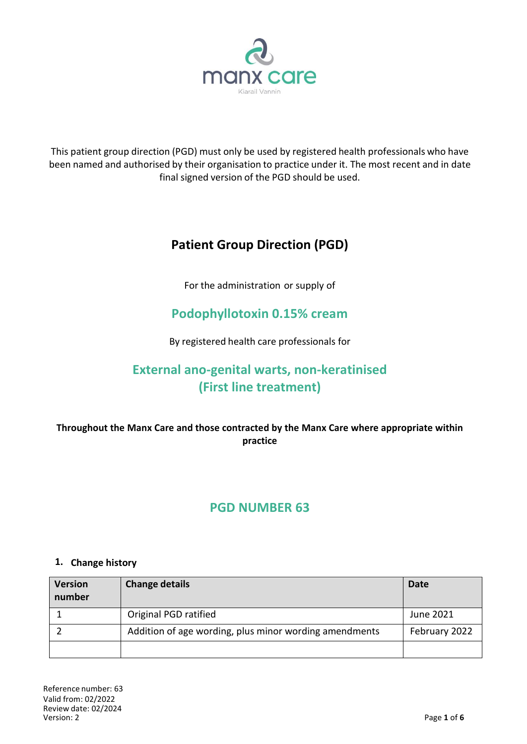

This patient group direction (PGD) must only be used by registered health professionals who have been named and authorised by their organisation to practice under it. The most recent and in date final signed version of the PGD should be used.

# **Patient Group Direction (PGD)**

For the administration or supply of

# **Podophyllotoxin 0.15% cream**

By registered health care professionals for

# **External ano-genital warts, non-keratinised (First line treatment)**

## **Throughout the Manx Care and those contracted by the Manx Care where appropriate within practice**

## **PGD NUMBER 63**

#### **1. Change history**

| <b>Version</b><br>number | <b>Change details</b>                                  | <b>Date</b>   |
|--------------------------|--------------------------------------------------------|---------------|
|                          | Original PGD ratified                                  | June 2021     |
|                          | Addition of age wording, plus minor wording amendments | February 2022 |
|                          |                                                        |               |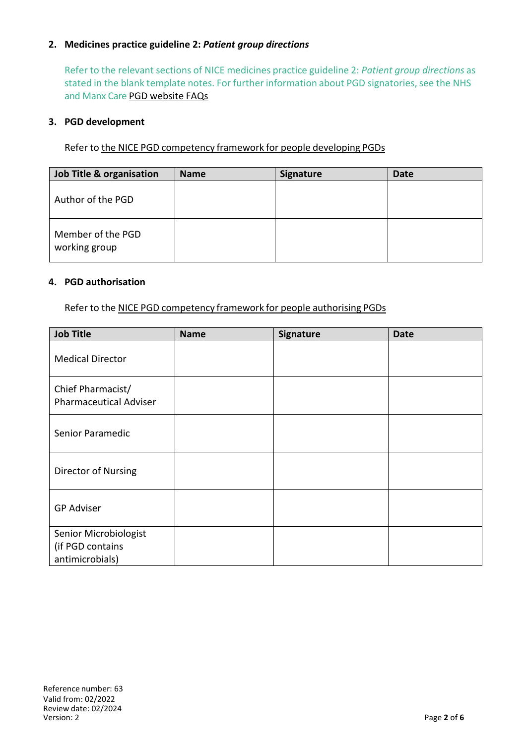### **2. Medicines practice guideline 2:** *Patient group directions*

Refer to the relevant sections of NICE medicines practice guideline 2: *Patient group directions* as stated in the blank template notes. For further information about PGD signatories, see the NHS and Manx Care PGD website FAQs

#### **3. PGD development**

Refer to the NICE PGD competency framework for people developing PGDs

| <b>Job Title &amp; organisation</b> | <b>Name</b> | <b>Signature</b> | <b>Date</b> |
|-------------------------------------|-------------|------------------|-------------|
| Author of the PGD                   |             |                  |             |
| Member of the PGD<br>working group  |             |                  |             |

#### **4. PGD authorisation**

Refer to the NICE PGD competency framework for people authorising PGDs

| <b>Job Title</b>                                             | <b>Name</b> | <b>Signature</b> | <b>Date</b> |
|--------------------------------------------------------------|-------------|------------------|-------------|
| <b>Medical Director</b>                                      |             |                  |             |
| Chief Pharmacist/<br><b>Pharmaceutical Adviser</b>           |             |                  |             |
| Senior Paramedic                                             |             |                  |             |
| Director of Nursing                                          |             |                  |             |
| <b>GP Adviser</b>                                            |             |                  |             |
| Senior Microbiologist<br>(if PGD contains<br>antimicrobials) |             |                  |             |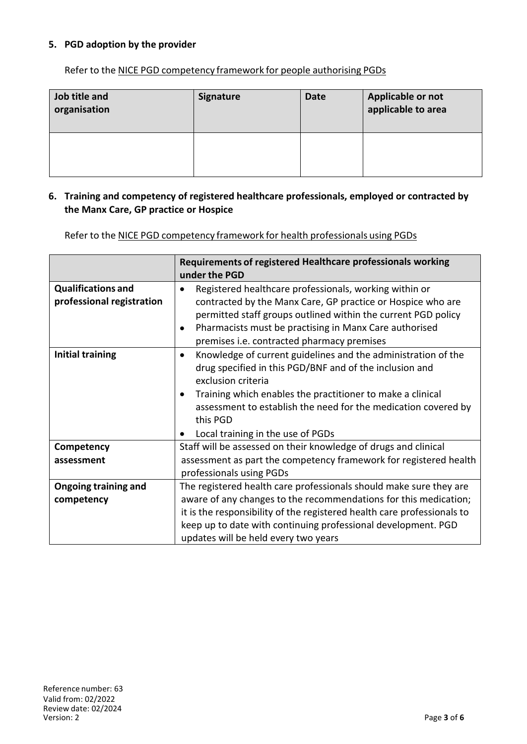### **5. PGD adoption by the provider**

Refer to the NICE PGD competency framework for people authorising PGDs

| Job title and<br>organisation | <b>Signature</b> | <b>Date</b> | Applicable or not<br>applicable to area |
|-------------------------------|------------------|-------------|-----------------------------------------|
|                               |                  |             |                                         |

#### **6. Training and competency of registered healthcare professionals, employed or contracted by the Manx Care, GP practice or Hospice**

Refer to the NICE PGD competency framework for health professionals using PGDs

|                                                        | Requirements of registered Healthcare professionals working<br>under the PGD                                                                                                                                                                                                                                                                 |  |
|--------------------------------------------------------|----------------------------------------------------------------------------------------------------------------------------------------------------------------------------------------------------------------------------------------------------------------------------------------------------------------------------------------------|--|
| <b>Qualifications and</b><br>professional registration | Registered healthcare professionals, working within or<br>contracted by the Manx Care, GP practice or Hospice who are<br>permitted staff groups outlined within the current PGD policy<br>Pharmacists must be practising in Manx Care authorised<br>premises i.e. contracted pharmacy premises                                               |  |
| <b>Initial training</b>                                | Knowledge of current guidelines and the administration of the<br>$\bullet$<br>drug specified in this PGD/BNF and of the inclusion and<br>exclusion criteria<br>Training which enables the practitioner to make a clinical<br>assessment to establish the need for the medication covered by<br>this PGD<br>Local training in the use of PGDs |  |
| Competency                                             | Staff will be assessed on their knowledge of drugs and clinical                                                                                                                                                                                                                                                                              |  |
| assessment                                             | assessment as part the competency framework for registered health<br>professionals using PGDs                                                                                                                                                                                                                                                |  |
| <b>Ongoing training and</b>                            | The registered health care professionals should make sure they are                                                                                                                                                                                                                                                                           |  |
| competency                                             | aware of any changes to the recommendations for this medication;                                                                                                                                                                                                                                                                             |  |
|                                                        | it is the responsibility of the registered health care professionals to                                                                                                                                                                                                                                                                      |  |
|                                                        | keep up to date with continuing professional development. PGD                                                                                                                                                                                                                                                                                |  |
|                                                        | updates will be held every two years                                                                                                                                                                                                                                                                                                         |  |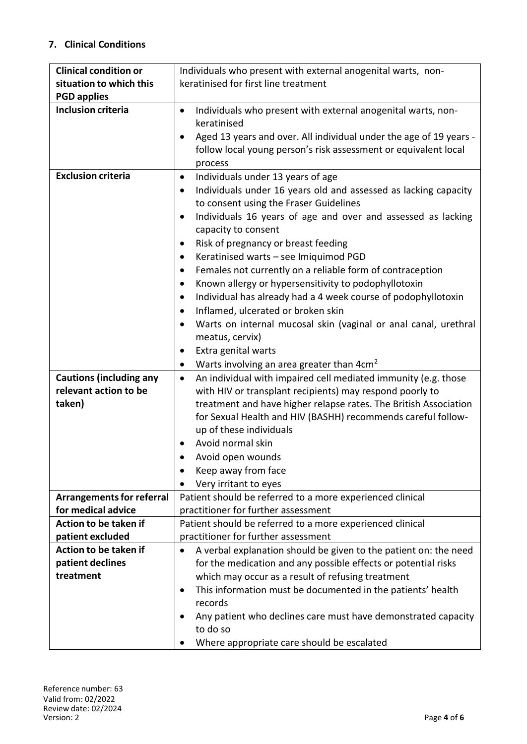## **7. Clinical Conditions**

| <b>Clinical condition or</b>     | Individuals who present with external anogenital warts, non-                        |  |  |
|----------------------------------|-------------------------------------------------------------------------------------|--|--|
| situation to which this          | keratinised for first line treatment                                                |  |  |
| <b>PGD applies</b>               |                                                                                     |  |  |
| <b>Inclusion criteria</b>        | Individuals who present with external anogenital warts, non-<br>$\bullet$           |  |  |
|                                  | keratinised                                                                         |  |  |
|                                  | Aged 13 years and over. All individual under the age of 19 years -                  |  |  |
|                                  | follow local young person's risk assessment or equivalent local                     |  |  |
|                                  | process                                                                             |  |  |
| <b>Exclusion criteria</b>        | Individuals under 13 years of age<br>$\bullet$                                      |  |  |
|                                  | Individuals under 16 years old and assessed as lacking capacity<br>$\bullet$        |  |  |
|                                  | to consent using the Fraser Guidelines                                              |  |  |
|                                  | Individuals 16 years of age and over and assessed as lacking<br>٠                   |  |  |
|                                  | capacity to consent                                                                 |  |  |
|                                  | Risk of pregnancy or breast feeding<br>٠                                            |  |  |
|                                  | Keratinised warts - see Imiquimod PGD<br>$\bullet$                                  |  |  |
|                                  | Females not currently on a reliable form of contraception<br>$\bullet$              |  |  |
|                                  | Known allergy or hypersensitivity to podophyllotoxin<br>$\bullet$                   |  |  |
|                                  | Individual has already had a 4 week course of podophyllotoxin<br>$\bullet$          |  |  |
|                                  | Inflamed, ulcerated or broken skin<br>$\bullet$                                     |  |  |
|                                  | Warts on internal mucosal skin (vaginal or anal canal, urethral<br>$\bullet$        |  |  |
|                                  | meatus, cervix)                                                                     |  |  |
|                                  | Extra genital warts<br>٠                                                            |  |  |
|                                  | Warts involving an area greater than 4cm <sup>2</sup><br>$\bullet$                  |  |  |
| <b>Cautions (including any</b>   | An individual with impaired cell mediated immunity (e.g. those<br>$\bullet$         |  |  |
| relevant action to be            | with HIV or transplant recipients) may respond poorly to                            |  |  |
| taken)                           | treatment and have higher relapse rates. The British Association                    |  |  |
|                                  | for Sexual Health and HIV (BASHH) recommends careful follow-                        |  |  |
|                                  | up of these individuals                                                             |  |  |
|                                  | Avoid normal skin                                                                   |  |  |
|                                  | Avoid open wounds                                                                   |  |  |
|                                  | Keep away from face                                                                 |  |  |
|                                  | Very irritant to eyes<br>$\bullet$                                                  |  |  |
| <b>Arrangements for referral</b> | Patient should be referred to a more experienced clinical                           |  |  |
| for medical advice               | practitioner for further assessment                                                 |  |  |
| Action to be taken if            | Patient should be referred to a more experienced clinical                           |  |  |
| patient excluded                 | practitioner for further assessment                                                 |  |  |
| Action to be taken if            | A verbal explanation should be given to the patient on: the need                    |  |  |
| patient declines                 | for the medication and any possible effects or potential risks                      |  |  |
| treatment                        | which may occur as a result of refusing treatment                                   |  |  |
|                                  | This information must be documented in the patients' health<br>$\bullet$<br>records |  |  |
|                                  | Any patient who declines care must have demonstrated capacity<br>٠                  |  |  |
|                                  | to do so                                                                            |  |  |
|                                  | Where appropriate care should be escalated                                          |  |  |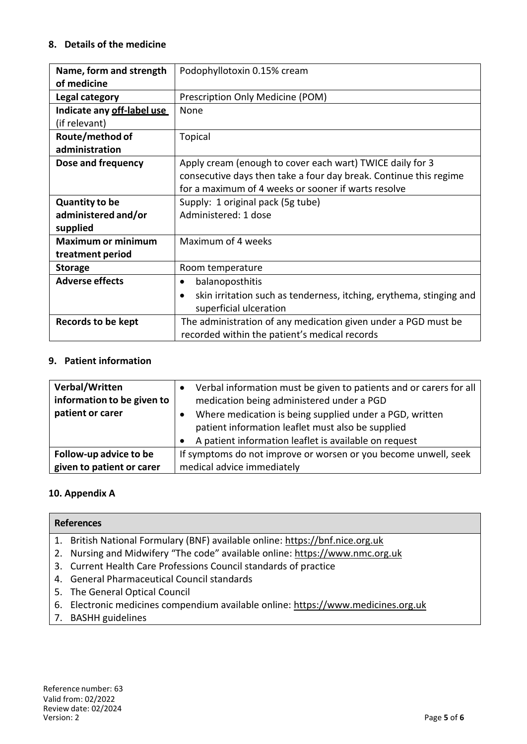### **8. Details of the medicine**

| Name, form and strength    | Podophyllotoxin 0.15% cream                                                      |
|----------------------------|----------------------------------------------------------------------------------|
| of medicine                |                                                                                  |
| Legal category             | Prescription Only Medicine (POM)                                                 |
| Indicate any off-label use | None                                                                             |
| (if relevant)              |                                                                                  |
| Route/method of            | Topical                                                                          |
| administration             |                                                                                  |
| Dose and frequency         | Apply cream (enough to cover each wart) TWICE daily for 3                        |
|                            | consecutive days then take a four day break. Continue this regime                |
|                            | for a maximum of 4 weeks or sooner if warts resolve                              |
| <b>Quantity to be</b>      | Supply: 1 original pack (5g tube)                                                |
| administered and/or        | Administered: 1 dose                                                             |
| supplied                   |                                                                                  |
| <b>Maximum or minimum</b>  | Maximum of 4 weeks                                                               |
| treatment period           |                                                                                  |
| <b>Storage</b>             | Room temperature                                                                 |
| <b>Adverse effects</b>     | balanoposthitis<br>$\bullet$                                                     |
|                            | skin irritation such as tenderness, itching, erythema, stinging and<br>$\bullet$ |
|                            | superficial ulceration                                                           |
| Records to be kept         | The administration of any medication given under a PGD must be                   |
|                            | recorded within the patient's medical records                                    |

### **9. Patient information**

| Verbal/Written             | Verbal information must be given to patients and or carers for all                                           |
|----------------------------|--------------------------------------------------------------------------------------------------------------|
| information to be given to | medication being administered under a PGD                                                                    |
| patient or carer           | Where medication is being supplied under a PGD, written<br>patient information leaflet must also be supplied |
|                            | A patient information leaflet is available on request                                                        |
| Follow-up advice to be     | If symptoms do not improve or worsen or you become unwell, seek                                              |
| given to patient or carer  | medical advice immediately                                                                                   |

## **10. Appendix A**

| <b>References</b>                                                                 |
|-----------------------------------------------------------------------------------|
| 1. British National Formulary (BNF) available online: https://bnf.nice.org.uk     |
| 2. Nursing and Midwifery "The code" available online: https://www.nmc.org.uk      |
| 3. Current Health Care Professions Council standards of practice                  |
| 4. General Pharmaceutical Council standards                                       |
| 5. The General Optical Council                                                    |
| 6. Electronic medicines compendium available online: https://www.medicines.org.uk |
| 7. BASHH guidelines                                                               |
|                                                                                   |